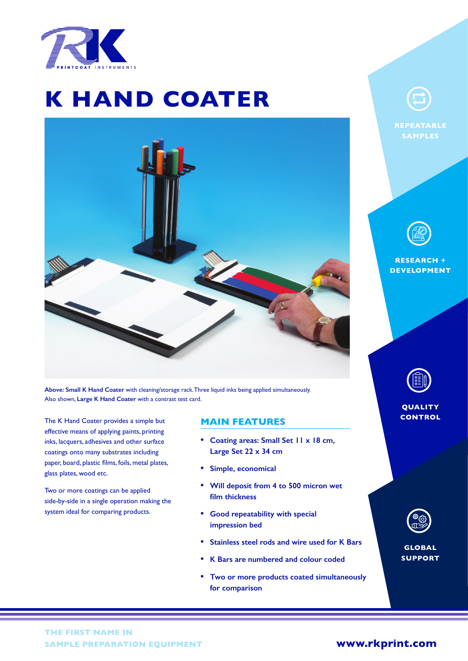

# **K HAND COATER**



**Above: Small K Hand Coater** with cleaning/storage rack. Three liquid inks being applied simultaneously. Also shown, **Large K Hand Coater** with a contrast test card.

The K Hand Coater provides a simple but effective means of applying paints, printing inks, lacquers, adhesives and other surface coatings onto many substrates including paper, board, plastic films, foils, metal plates, glass plates, wood etc.

Two or more coatings can be applied side-by-side in a single operation making the system ideal for comparing products.

## **MAIN FEATURES**

- **• Coating areas: Small Set 11 x 18 cm, Large Set 22 x 34 cm**
- **• Simple, economical**
- **• Will deposit from 4 to 500 micron wet film thickness**
- **• Good repeatability with special impression bed**
- **• Stainless steel rods and wire used for K Bars**
- **• K Bars are numbered and colour coded**
- **• Two or more products coated simultaneously for comparison**



**REPEATABLE SAMPLES**



**RESEARCH + DEVELOPMENT**



**QUALITY CONTROL**

| ×<br>፠<br>с |
|-------------|
|             |

**GLOBAL SUPPORT**

## **[www.rkprint.com](https://www.rkprint.com/products/k-hand-coater/)**